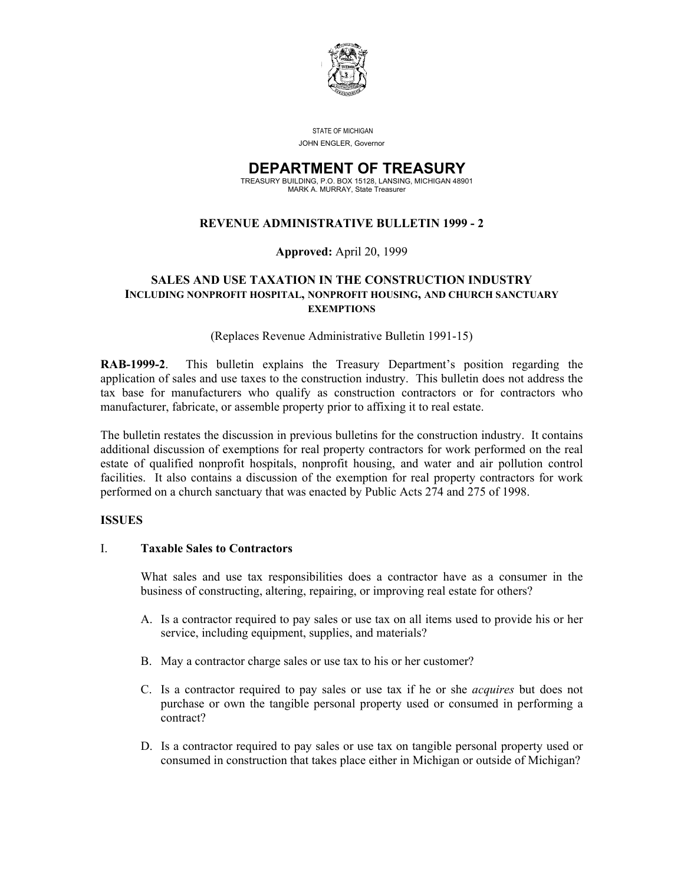

STATE OF MICHIGAN

JOHN ENGLER, Governor

#### **DEPARTMENT OF TREASURY** TREASURY BUILDING, P.O. BOX 15128, LANSING, MICHIGAN 48901

MARK A. MURRAY, State Treasurer

## **REVENUE ADMINISTRATIVE BULLETIN 1999 - 2**

#### **Approved:** April 20, 1999

#### **SALES AND USE TAXATION IN THE CONSTRUCTION INDUSTRY INCLUDING NONPROFIT HOSPITAL, NONPROFIT HOUSING, AND CHURCH SANCTUARY EXEMPTIONS**

(Replaces Revenue Administrative Bulletin 1991-15)

**RAB-1999-2**. This bulletin explains the Treasury Department's position regarding the application of sales and use taxes to the construction industry. This bulletin does not address the tax base for manufacturers who qualify as construction contractors or for contractors who manufacturer, fabricate, or assemble property prior to affixing it to real estate.

The bulletin restates the discussion in previous bulletins for the construction industry. It contains additional discussion of exemptions for real property contractors for work performed on the real estate of qualified nonprofit hospitals, nonprofit housing, and water and air pollution control facilities. It also contains a discussion of the exemption for real property contractors for work performed on a church sanctuary that was enacted by Public Acts 274 and 275 of 1998.

#### **ISSUES**

#### I. **Taxable Sales to Contractors**

What sales and use tax responsibilities does a contractor have as a consumer in the business of constructing, altering, repairing, or improving real estate for others?

- A. Is a contractor required to pay sales or use tax on all items used to provide his or her service, including equipment, supplies, and materials?
- B. May a contractor charge sales or use tax to his or her customer?
- C. Is a contractor required to pay sales or use tax if he or she *acquires* but does not purchase or own the tangible personal property used or consumed in performing a contract?
- D. Is a contractor required to pay sales or use tax on tangible personal property used or consumed in construction that takes place either in Michigan or outside of Michigan?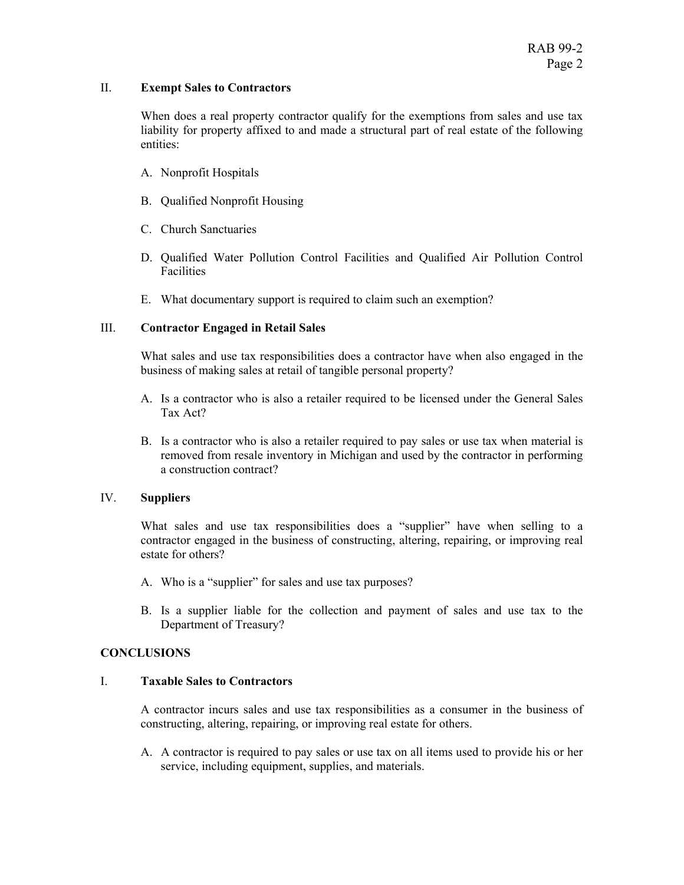#### II. **Exempt Sales to Contractors**

When does a real property contractor qualify for the exemptions from sales and use tax liability for property affixed to and made a structural part of real estate of the following entities:

- A. Nonprofit Hospitals
- B. Qualified Nonprofit Housing
- C. Church Sanctuaries
- D. Qualified Water Pollution Control Facilities and Qualified Air Pollution Control Facilities
- E. What documentary support is required to claim such an exemption?

## III. **Contractor Engaged in Retail Sales**

What sales and use tax responsibilities does a contractor have when also engaged in the business of making sales at retail of tangible personal property?

- A. Is a contractor who is also a retailer required to be licensed under the General Sales Tax Act?
- B. Is a contractor who is also a retailer required to pay sales or use tax when material is removed from resale inventory in Michigan and used by the contractor in performing a construction contract?

## IV. **Suppliers**

What sales and use tax responsibilities does a "supplier" have when selling to a contractor engaged in the business of constructing, altering, repairing, or improving real estate for others?

- A. Who is a "supplier" for sales and use tax purposes?
- B. Is a supplier liable for the collection and payment of sales and use tax to the Department of Treasury?

## **CONCLUSIONS**

## I. **Taxable Sales to Contractors**

A contractor incurs sales and use tax responsibilities as a consumer in the business of constructing, altering, repairing, or improving real estate for others.

A. A contractor is required to pay sales or use tax on all items used to provide his or her service, including equipment, supplies, and materials.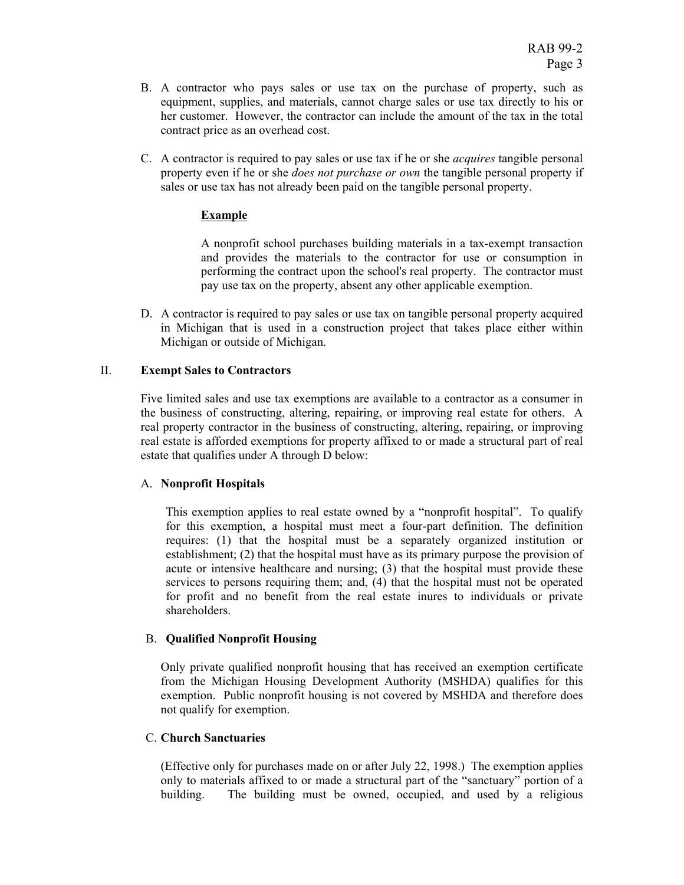- B. A contractor who pays sales or use tax on the purchase of property, such as equipment, supplies, and materials, cannot charge sales or use tax directly to his or her customer. However, the contractor can include the amount of the tax in the total contract price as an overhead cost.
- C. A contractor is required to pay sales or use tax if he or she *acquires* tangible personal property even if he or she *does not purchase or own* the tangible personal property if sales or use tax has not already been paid on the tangible personal property.

## **Example**

A nonprofit school purchases building materials in a tax-exempt transaction and provides the materials to the contractor for use or consumption in performing the contract upon the school's real property. The contractor must pay use tax on the property, absent any other applicable exemption.

D. A contractor is required to pay sales or use tax on tangible personal property acquired in Michigan that is used in a construction project that takes place either within Michigan or outside of Michigan.

## II. **Exempt Sales to Contractors**

Five limited sales and use tax exemptions are available to a contractor as a consumer in the business of constructing, altering, repairing, or improving real estate for others. A real property contractor in the business of constructing, altering, repairing, or improving real estate is afforded exemptions for property affixed to or made a structural part of real estate that qualifies under A through D below:

## A. **Nonprofit Hospitals**

This exemption applies to real estate owned by a "nonprofit hospital". To qualify for this exemption, a hospital must meet a four-part definition. The definition requires: (1) that the hospital must be a separately organized institution or establishment; (2) that the hospital must have as its primary purpose the provision of acute or intensive healthcare and nursing; (3) that the hospital must provide these services to persons requiring them; and, (4) that the hospital must not be operated for profit and no benefit from the real estate inures to individuals or private shareholders.

## B. **Qualified Nonprofit Housing**

Only private qualified nonprofit housing that has received an exemption certificate from the Michigan Housing Development Authority (MSHDA) qualifies for this exemption. Public nonprofit housing is not covered by MSHDA and therefore does not qualify for exemption.

## C. **Church Sanctuaries**

(Effective only for purchases made on or after July 22, 1998.) The exemption applies only to materials affixed to or made a structural part of the "sanctuary" portion of a building. The building must be owned, occupied, and used by a religious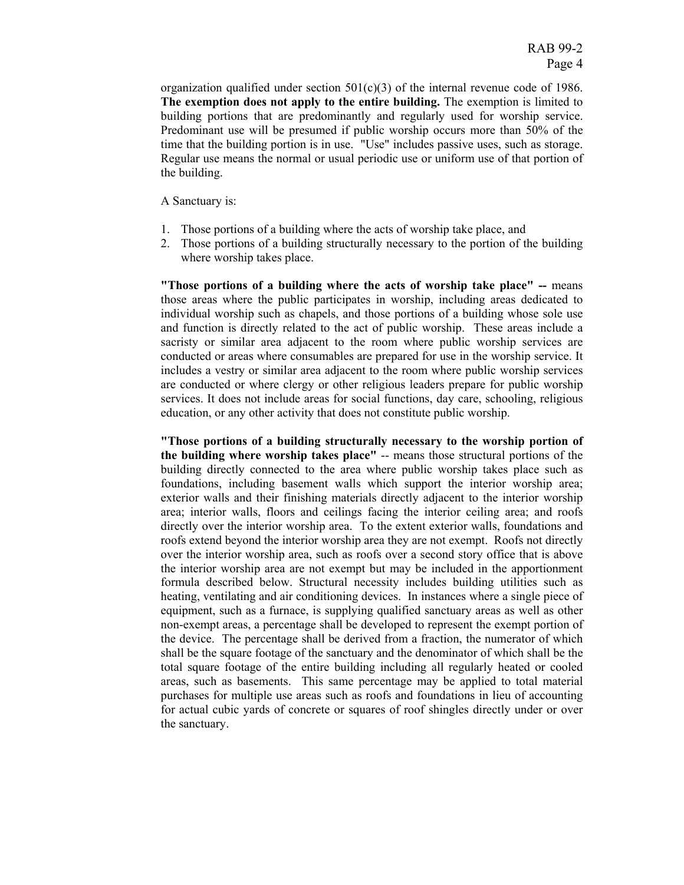organization qualified under section  $501(c)(3)$  of the internal revenue code of 1986. **The exemption does not apply to the entire building.** The exemption is limited to building portions that are predominantly and regularly used for worship service. Predominant use will be presumed if public worship occurs more than 50% of the time that the building portion is in use. "Use" includes passive uses, such as storage. Regular use means the normal or usual periodic use or uniform use of that portion of the building.

A Sanctuary is:

- 1. Those portions of a building where the acts of worship take place, and
- 2. Those portions of a building structurally necessary to the portion of the building where worship takes place.

**"Those portions of a building where the acts of worship take place" --** means those areas where the public participates in worship, including areas dedicated to individual worship such as chapels, and those portions of a building whose sole use and function is directly related to the act of public worship. These areas include a sacristy or similar area adjacent to the room where public worship services are conducted or areas where consumables are prepared for use in the worship service. It includes a vestry or similar area adjacent to the room where public worship services are conducted or where clergy or other religious leaders prepare for public worship services. It does not include areas for social functions, day care, schooling, religious education, or any other activity that does not constitute public worship.

**"Those portions of a building structurally necessary to the worship portion of the building where worship takes place"** -- means those structural portions of the building directly connected to the area where public worship takes place such as foundations, including basement walls which support the interior worship area; exterior walls and their finishing materials directly adjacent to the interior worship area; interior walls, floors and ceilings facing the interior ceiling area; and roofs directly over the interior worship area. To the extent exterior walls, foundations and roofs extend beyond the interior worship area they are not exempt. Roofs not directly over the interior worship area, such as roofs over a second story office that is above the interior worship area are not exempt but may be included in the apportionment formula described below. Structural necessity includes building utilities such as heating, ventilating and air conditioning devices. In instances where a single piece of equipment, such as a furnace, is supplying qualified sanctuary areas as well as other non-exempt areas, a percentage shall be developed to represent the exempt portion of the device. The percentage shall be derived from a fraction, the numerator of which shall be the square footage of the sanctuary and the denominator of which shall be the total square footage of the entire building including all regularly heated or cooled areas, such as basements. This same percentage may be applied to total material purchases for multiple use areas such as roofs and foundations in lieu of accounting for actual cubic yards of concrete or squares of roof shingles directly under or over the sanctuary.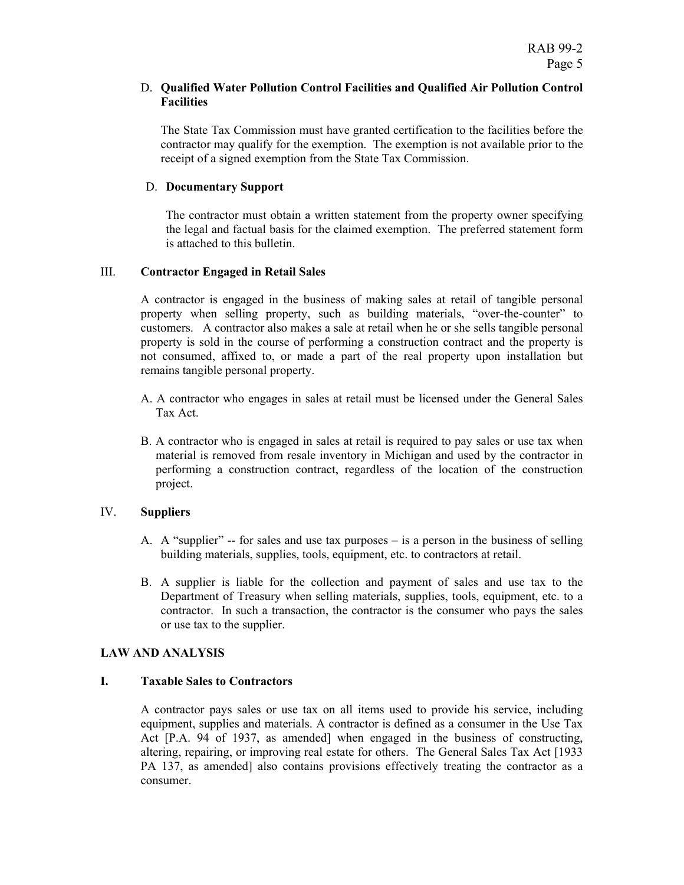#### D. **Qualified Water Pollution Control Facilities and Qualified Air Pollution Control Facilities**

The State Tax Commission must have granted certification to the facilities before the contractor may qualify for the exemption. The exemption is not available prior to the receipt of a signed exemption from the State Tax Commission.

#### D. **Documentary Support**

The contractor must obtain a written statement from the property owner specifying the legal and factual basis for the claimed exemption. The preferred statement form is attached to this bulletin.

#### III. **Contractor Engaged in Retail Sales**

A contractor is engaged in the business of making sales at retail of tangible personal property when selling property, such as building materials, "over-the-counter" to customers. A contractor also makes a sale at retail when he or she sells tangible personal property is sold in the course of performing a construction contract and the property is not consumed, affixed to, or made a part of the real property upon installation but remains tangible personal property.

- A. A contractor who engages in sales at retail must be licensed under the General Sales Tax Act.
- B. A contractor who is engaged in sales at retail is required to pay sales or use tax when material is removed from resale inventory in Michigan and used by the contractor in performing a construction contract, regardless of the location of the construction project.

## IV. **Suppliers**

- A. A "supplier" -- for sales and use tax purposes is a person in the business of selling building materials, supplies, tools, equipment, etc. to contractors at retail.
- B. A supplier is liable for the collection and payment of sales and use tax to the Department of Treasury when selling materials, supplies, tools, equipment, etc. to a contractor. In such a transaction, the contractor is the consumer who pays the sales or use tax to the supplier.

#### **LAW AND ANALYSIS**

#### **I. Taxable Sales to Contractors**

A contractor pays sales or use tax on all items used to provide his service, including equipment, supplies and materials. A contractor is defined as a consumer in the Use Tax Act [P.A. 94 of 1937, as amended] when engaged in the business of constructing, altering, repairing, or improving real estate for others. The General Sales Tax Act [1933 PA 137, as amended] also contains provisions effectively treating the contractor as a consumer.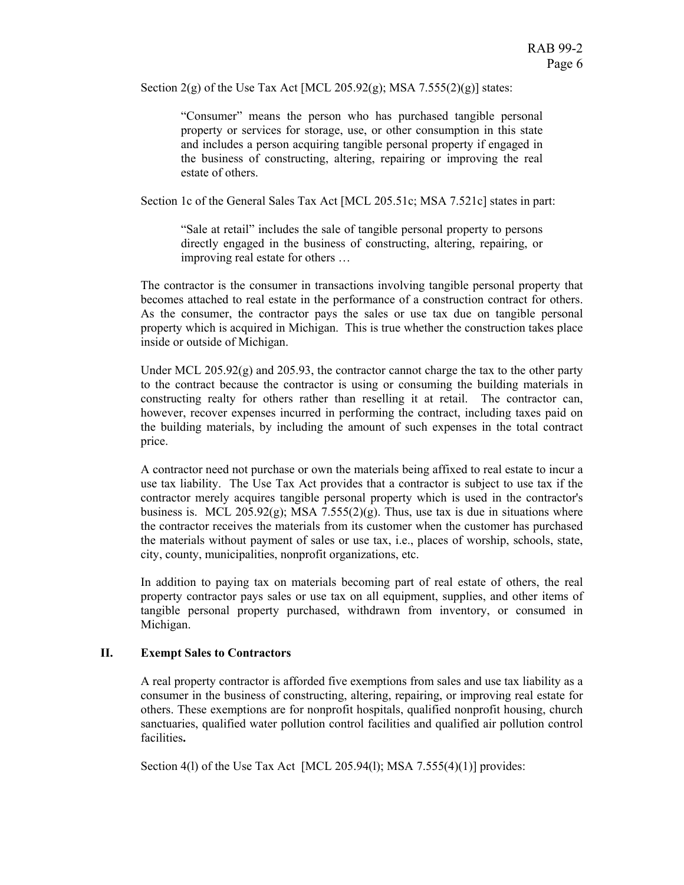Section  $2(g)$  of the Use Tax Act [MCL 205.92(g); MSA 7.555(2)(g)] states:

"Consumer" means the person who has purchased tangible personal property or services for storage, use, or other consumption in this state and includes a person acquiring tangible personal property if engaged in the business of constructing, altering, repairing or improving the real estate of others.

Section 1c of the General Sales Tax Act [MCL 205.51c; MSA 7.521c] states in part:

"Sale at retail" includes the sale of tangible personal property to persons directly engaged in the business of constructing, altering, repairing, or improving real estate for others …

The contractor is the consumer in transactions involving tangible personal property that becomes attached to real estate in the performance of a construction contract for others. As the consumer, the contractor pays the sales or use tax due on tangible personal property which is acquired in Michigan. This is true whether the construction takes place inside or outside of Michigan.

Under MCL  $205.92(g)$  and  $205.93$ , the contractor cannot charge the tax to the other party to the contract because the contractor is using or consuming the building materials in constructing realty for others rather than reselling it at retail. The contractor can, however, recover expenses incurred in performing the contract, including taxes paid on the building materials, by including the amount of such expenses in the total contract price.

A contractor need not purchase or own the materials being affixed to real estate to incur a use tax liability. The Use Tax Act provides that a contractor is subject to use tax if the contractor merely acquires tangible personal property which is used in the contractor's business is. MCL 205.92(g); MSA 7.555(2)(g). Thus, use tax is due in situations where the contractor receives the materials from its customer when the customer has purchased the materials without payment of sales or use tax, i.e., places of worship, schools, state, city, county, municipalities, nonprofit organizations, etc.

In addition to paying tax on materials becoming part of real estate of others, the real property contractor pays sales or use tax on all equipment, supplies, and other items of tangible personal property purchased, withdrawn from inventory, or consumed in Michigan.

## **II. Exempt Sales to Contractors**

A real property contractor is afforded five exemptions from sales and use tax liability as a consumer in the business of constructing, altering, repairing, or improving real estate for others. These exemptions are for nonprofit hospitals, qualified nonprofit housing, church sanctuaries, qualified water pollution control facilities and qualified air pollution control facilities**.**

Section 4(l) of the Use Tax Act [MCL 205.94(l); MSA 7.555(4)(1)] provides: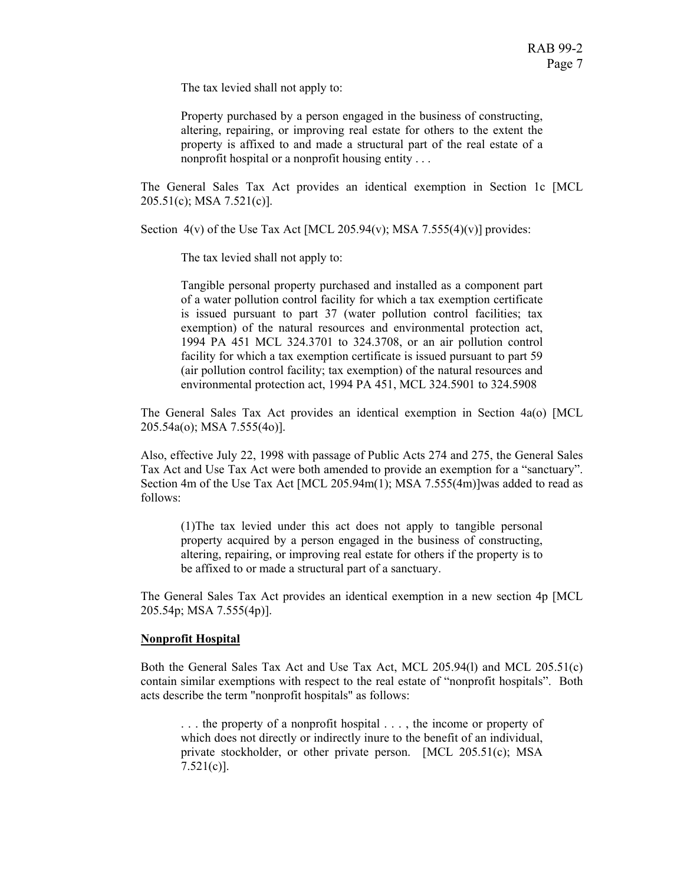The tax levied shall not apply to:

Property purchased by a person engaged in the business of constructing, altering, repairing, or improving real estate for others to the extent the property is affixed to and made a structural part of the real estate of a nonprofit hospital or a nonprofit housing entity . . .

The General Sales Tax Act provides an identical exemption in Section 1c [MCL 205.51(c); MSA 7.521(c)].

Section  $4(v)$  of the Use Tax Act [MCL 205.94(v); MSA 7.555(4)(v)] provides:

The tax levied shall not apply to:

Tangible personal property purchased and installed as a component part of a water pollution control facility for which a tax exemption certificate is issued pursuant to part 37 (water pollution control facilities; tax exemption) of the natural resources and environmental protection act, 1994 PA 451 MCL 324.3701 to 324.3708, or an air pollution control facility for which a tax exemption certificate is issued pursuant to part 59 (air pollution control facility; tax exemption) of the natural resources and environmental protection act, 1994 PA 451, MCL 324.5901 to 324.5908

The General Sales Tax Act provides an identical exemption in Section 4a(o) [MCL 205.54a(o); MSA 7.555(4o)].

Also, effective July 22, 1998 with passage of Public Acts 274 and 275, the General Sales Tax Act and Use Tax Act were both amended to provide an exemption for a "sanctuary". Section 4m of the Use Tax Act [MCL 205.94m(1); MSA 7.555(4m)]was added to read as follows:

(1)The tax levied under this act does not apply to tangible personal property acquired by a person engaged in the business of constructing, altering, repairing, or improving real estate for others if the property is to be affixed to or made a structural part of a sanctuary.

The General Sales Tax Act provides an identical exemption in a new section 4p [MCL 205.54p; MSA 7.555(4p)].

#### **Nonprofit Hospital**

Both the General Sales Tax Act and Use Tax Act, MCL 205.94(l) and MCL 205.51(c) contain similar exemptions with respect to the real estate of "nonprofit hospitals". Both acts describe the term "nonprofit hospitals" as follows:

. . . the property of a nonprofit hospital . . . , the income or property of which does not directly or indirectly inure to the benefit of an individual, private stockholder, or other private person. [MCL 205.51(c); MSA 7.521(c)].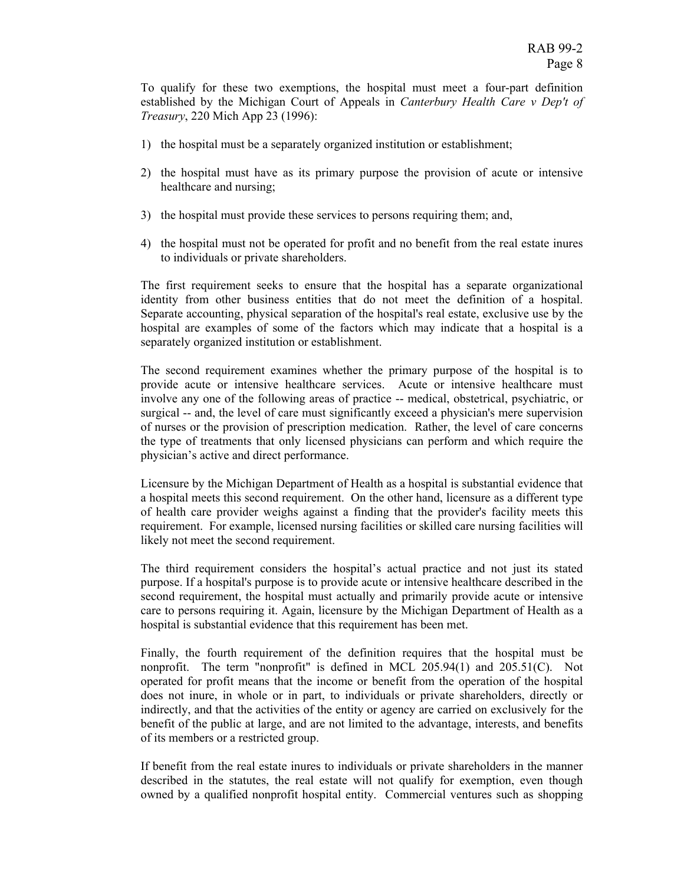To qualify for these two exemptions, the hospital must meet a four-part definition established by the Michigan Court of Appeals in *Canterbury Health Care v Dep't of Treasury*, 220 Mich App 23 (1996):

- 1) the hospital must be a separately organized institution or establishment;
- 2) the hospital must have as its primary purpose the provision of acute or intensive healthcare and nursing;
- 3) the hospital must provide these services to persons requiring them; and,
- 4) the hospital must not be operated for profit and no benefit from the real estate inures to individuals or private shareholders.

The first requirement seeks to ensure that the hospital has a separate organizational identity from other business entities that do not meet the definition of a hospital. Separate accounting, physical separation of the hospital's real estate, exclusive use by the hospital are examples of some of the factors which may indicate that a hospital is a separately organized institution or establishment.

The second requirement examines whether the primary purpose of the hospital is to provide acute or intensive healthcare services. Acute or intensive healthcare must involve any one of the following areas of practice -- medical, obstetrical, psychiatric, or surgical -- and, the level of care must significantly exceed a physician's mere supervision of nurses or the provision of prescription medication. Rather, the level of care concerns the type of treatments that only licensed physicians can perform and which require the physician's active and direct performance.

Licensure by the Michigan Department of Health as a hospital is substantial evidence that a hospital meets this second requirement. On the other hand, licensure as a different type of health care provider weighs against a finding that the provider's facility meets this requirement. For example, licensed nursing facilities or skilled care nursing facilities will likely not meet the second requirement.

The third requirement considers the hospital's actual practice and not just its stated purpose. If a hospital's purpose is to provide acute or intensive healthcare described in the second requirement, the hospital must actually and primarily provide acute or intensive care to persons requiring it. Again, licensure by the Michigan Department of Health as a hospital is substantial evidence that this requirement has been met.

Finally, the fourth requirement of the definition requires that the hospital must be nonprofit. The term "nonprofit" is defined in MCL 205.94(1) and 205.51(C). Not operated for profit means that the income or benefit from the operation of the hospital does not inure, in whole or in part, to individuals or private shareholders, directly or indirectly, and that the activities of the entity or agency are carried on exclusively for the benefit of the public at large, and are not limited to the advantage, interests, and benefits of its members or a restricted group.

If benefit from the real estate inures to individuals or private shareholders in the manner described in the statutes, the real estate will not qualify for exemption, even though owned by a qualified nonprofit hospital entity. Commercial ventures such as shopping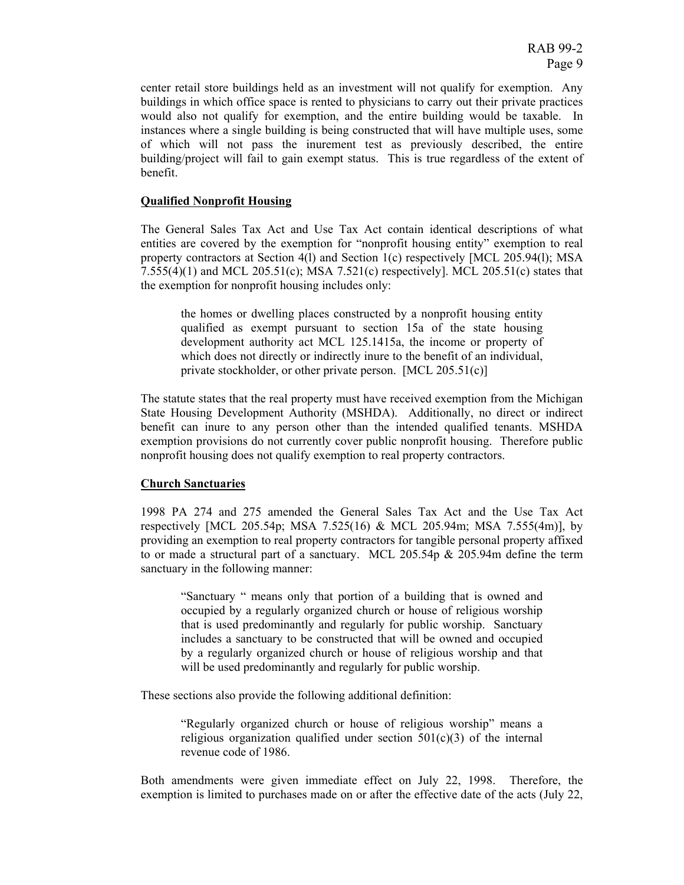center retail store buildings held as an investment will not qualify for exemption. Any buildings in which office space is rented to physicians to carry out their private practices would also not qualify for exemption, and the entire building would be taxable. In instances where a single building is being constructed that will have multiple uses, some of which will not pass the inurement test as previously described, the entire building/project will fail to gain exempt status. This is true regardless of the extent of benefit.

#### **Qualified Nonprofit Housing**

The General Sales Tax Act and Use Tax Act contain identical descriptions of what entities are covered by the exemption for "nonprofit housing entity" exemption to real property contractors at Section 4(l) and Section 1(c) respectively [MCL 205.94(l); MSA  $7.555(4)(1)$  and MCL  $205.51(c)$ ; MSA  $7.521(c)$  respectively]. MCL  $205.51(c)$  states that the exemption for nonprofit housing includes only:

the homes or dwelling places constructed by a nonprofit housing entity qualified as exempt pursuant to section 15a of the state housing development authority act MCL 125.1415a, the income or property of which does not directly or indirectly inure to the benefit of an individual, private stockholder, or other private person. [MCL 205.51(c)]

The statute states that the real property must have received exemption from the Michigan State Housing Development Authority (MSHDA). Additionally, no direct or indirect benefit can inure to any person other than the intended qualified tenants. MSHDA exemption provisions do not currently cover public nonprofit housing. Therefore public nonprofit housing does not qualify exemption to real property contractors.

#### **Church Sanctuaries**

1998 PA 274 and 275 amended the General Sales Tax Act and the Use Tax Act respectively [MCL 205.54p; MSA 7.525(16) & MCL 205.94m; MSA 7.555(4m)], by providing an exemption to real property contractors for tangible personal property affixed to or made a structural part of a sanctuary. MCL 205.54p  $\&$  205.94m define the term sanctuary in the following manner:

"Sanctuary " means only that portion of a building that is owned and occupied by a regularly organized church or house of religious worship that is used predominantly and regularly for public worship. Sanctuary includes a sanctuary to be constructed that will be owned and occupied by a regularly organized church or house of religious worship and that will be used predominantly and regularly for public worship.

These sections also provide the following additional definition:

"Regularly organized church or house of religious worship" means a religious organization qualified under section  $501(c)(3)$  of the internal revenue code of 1986.

Both amendments were given immediate effect on July 22, 1998. Therefore, the exemption is limited to purchases made on or after the effective date of the acts (July 22,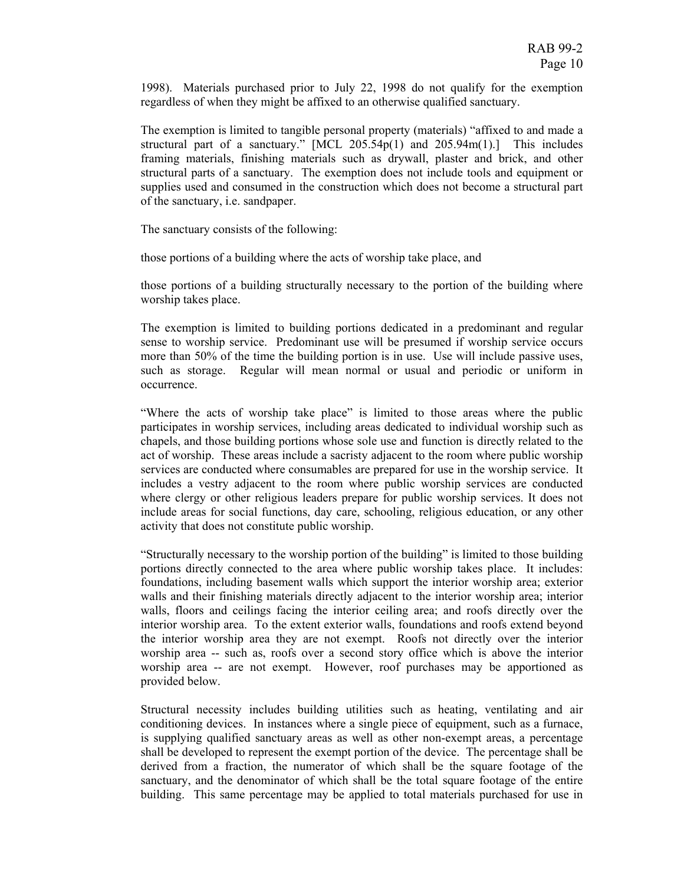1998). Materials purchased prior to July 22, 1998 do not qualify for the exemption regardless of when they might be affixed to an otherwise qualified sanctuary.

The exemption is limited to tangible personal property (materials) "affixed to and made a structural part of a sanctuary."  $[MCL 205.54p(1)$  and  $205.94m(1)$ .] This includes framing materials, finishing materials such as drywall, plaster and brick, and other structural parts of a sanctuary. The exemption does not include tools and equipment or supplies used and consumed in the construction which does not become a structural part of the sanctuary, i.e. sandpaper.

The sanctuary consists of the following:

those portions of a building where the acts of worship take place, and

those portions of a building structurally necessary to the portion of the building where worship takes place.

The exemption is limited to building portions dedicated in a predominant and regular sense to worship service. Predominant use will be presumed if worship service occurs more than 50% of the time the building portion is in use. Use will include passive uses, such as storage. Regular will mean normal or usual and periodic or uniform in occurrence.

"Where the acts of worship take place" is limited to those areas where the public participates in worship services, including areas dedicated to individual worship such as chapels, and those building portions whose sole use and function is directly related to the act of worship. These areas include a sacristy adjacent to the room where public worship services are conducted where consumables are prepared for use in the worship service. It includes a vestry adjacent to the room where public worship services are conducted where clergy or other religious leaders prepare for public worship services. It does not include areas for social functions, day care, schooling, religious education, or any other activity that does not constitute public worship.

"Structurally necessary to the worship portion of the building" is limited to those building portions directly connected to the area where public worship takes place. It includes: foundations, including basement walls which support the interior worship area; exterior walls and their finishing materials directly adjacent to the interior worship area; interior walls, floors and ceilings facing the interior ceiling area; and roofs directly over the interior worship area. To the extent exterior walls, foundations and roofs extend beyond the interior worship area they are not exempt. Roofs not directly over the interior worship area -- such as, roofs over a second story office which is above the interior worship area -- are not exempt. However, roof purchases may be apportioned as provided below.

Structural necessity includes building utilities such as heating, ventilating and air conditioning devices. In instances where a single piece of equipment, such as a furnace, is supplying qualified sanctuary areas as well as other non-exempt areas, a percentage shall be developed to represent the exempt portion of the device. The percentage shall be derived from a fraction, the numerator of which shall be the square footage of the sanctuary, and the denominator of which shall be the total square footage of the entire building. This same percentage may be applied to total materials purchased for use in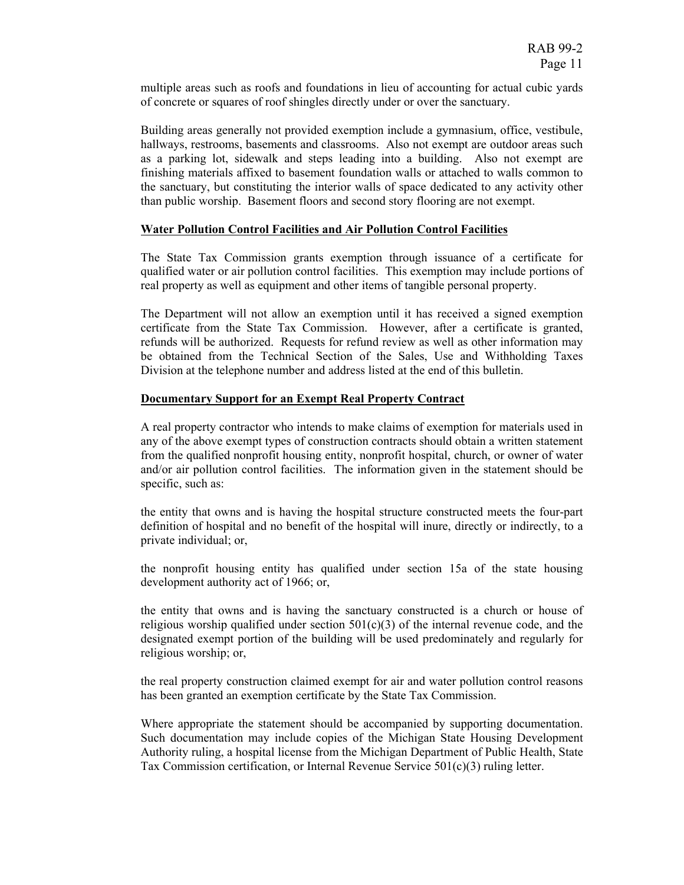multiple areas such as roofs and foundations in lieu of accounting for actual cubic yards of concrete or squares of roof shingles directly under or over the sanctuary.

Building areas generally not provided exemption include a gymnasium, office, vestibule, hallways, restrooms, basements and classrooms. Also not exempt are outdoor areas such as a parking lot, sidewalk and steps leading into a building. Also not exempt are finishing materials affixed to basement foundation walls or attached to walls common to the sanctuary, but constituting the interior walls of space dedicated to any activity other than public worship. Basement floors and second story flooring are not exempt.

#### **Water Pollution Control Facilities and Air Pollution Control Facilities**

The State Tax Commission grants exemption through issuance of a certificate for qualified water or air pollution control facilities. This exemption may include portions of real property as well as equipment and other items of tangible personal property.

The Department will not allow an exemption until it has received a signed exemption certificate from the State Tax Commission. However, after a certificate is granted, refunds will be authorized. Requests for refund review as well as other information may be obtained from the Technical Section of the Sales, Use and Withholding Taxes Division at the telephone number and address listed at the end of this bulletin.

## **Documentary Support for an Exempt Real Property Contract**

A real property contractor who intends to make claims of exemption for materials used in any of the above exempt types of construction contracts should obtain a written statement from the qualified nonprofit housing entity, nonprofit hospital, church, or owner of water and/or air pollution control facilities. The information given in the statement should be specific, such as:

the entity that owns and is having the hospital structure constructed meets the four-part definition of hospital and no benefit of the hospital will inure, directly or indirectly, to a private individual; or,

the nonprofit housing entity has qualified under section 15a of the state housing development authority act of 1966; or,

the entity that owns and is having the sanctuary constructed is a church or house of religious worship qualified under section  $501(c)(3)$  of the internal revenue code, and the designated exempt portion of the building will be used predominately and regularly for religious worship; or,

the real property construction claimed exempt for air and water pollution control reasons has been granted an exemption certificate by the State Tax Commission.

Where appropriate the statement should be accompanied by supporting documentation. Such documentation may include copies of the Michigan State Housing Development Authority ruling, a hospital license from the Michigan Department of Public Health, State Tax Commission certification, or Internal Revenue Service 501(c)(3) ruling letter.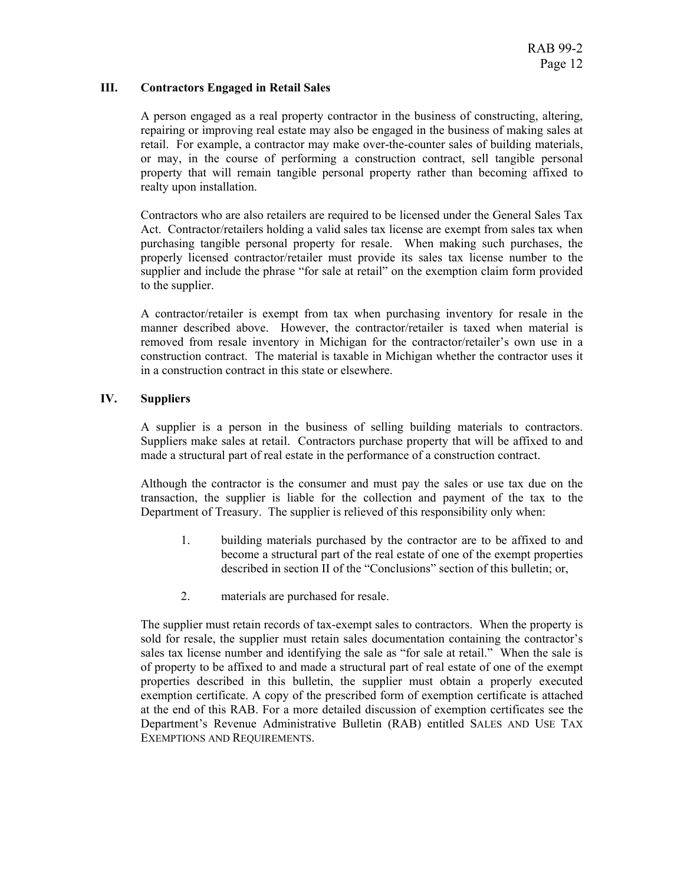#### **III. Contractors Engaged in Retail Sales**

A person engaged as a real property contractor in the business of constructing, altering, repairing or improving real estate may also be engaged in the business of making sales at retail. For example, a contractor may make over-the-counter sales of building materials, or may, in the course of performing a construction contract, sell tangible personal property that will remain tangible personal property rather than becoming affixed to realty upon installation.

Contractors who are also retailers are required to be licensed under the General Sales Tax Act. Contractor/retailers holding a valid sales tax license are exempt from sales tax when purchasing tangible personal property for resale. When making such purchases, the properly licensed contractor/retailer must provide its sales tax license number to the supplier and include the phrase "for sale at retail" on the exemption claim form provided to the supplier.

A contractor/retailer is exempt from tax when purchasing inventory for resale in the manner described above. However, the contractor/retailer is taxed when material is removed from resale inventory in Michigan for the contractor/retailer's own use in a construction contract. The material is taxable in Michigan whether the contractor uses it in a construction contract in this state or elsewhere.

## **IV. Suppliers**

A supplier is a person in the business of selling building materials to contractors. Suppliers make sales at retail. Contractors purchase property that will be affixed to and made a structural part of real estate in the performance of a construction contract.

Although the contractor is the consumer and must pay the sales or use tax due on the transaction, the supplier is liable for the collection and payment of the tax to the Department of Treasury. The supplier is relieved of this responsibility only when:

- 1. building materials purchased by the contractor are to be affixed to and become a structural part of the real estate of one of the exempt properties described in section II of the "Conclusions" section of this bulletin; or,
- 2. materials are purchased for resale.

The supplier must retain records of tax-exempt sales to contractors. When the property is sold for resale, the supplier must retain sales documentation containing the contractor's sales tax license number and identifying the sale as "for sale at retail." When the sale is of property to be affixed to and made a structural part of real estate of one of the exempt properties described in this bulletin, the supplier must obtain a properly executed exemption certificate. A copy of the prescribed form of exemption certificate is attached at the end of this RAB. For a more detailed discussion of exemption certificates see the Department's Revenue Administrative Bulletin (RAB) entitled SALES AND USE TAX EXEMPTIONS AND REQUIREMENTS.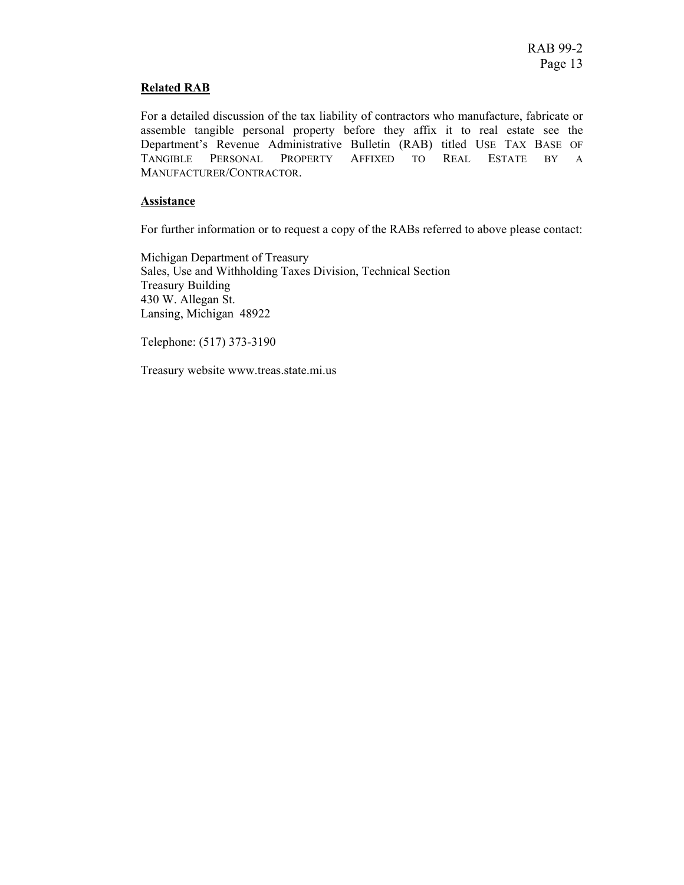#### **Related RAB**

For a detailed discussion of the tax liability of contractors who manufacture, fabricate or assemble tangible personal property before they affix it to real estate see the Department's Revenue Administrative Bulletin (RAB) titled USE TAX BASE OF TANGIBLE PERSONAL PROPERTY AFFIXED TO REAL ESTATE BY A MANUFACTURER/CONTRACTOR.

#### **Assistance**

For further information or to request a copy of the RABs referred to above please contact:

Michigan Department of Treasury Sales, Use and Withholding Taxes Division, Technical Section Treasury Building 430 W. Allegan St. Lansing, Michigan 48922

Telephone: (517) 373-3190

Treasury website www.treas.state.mi.us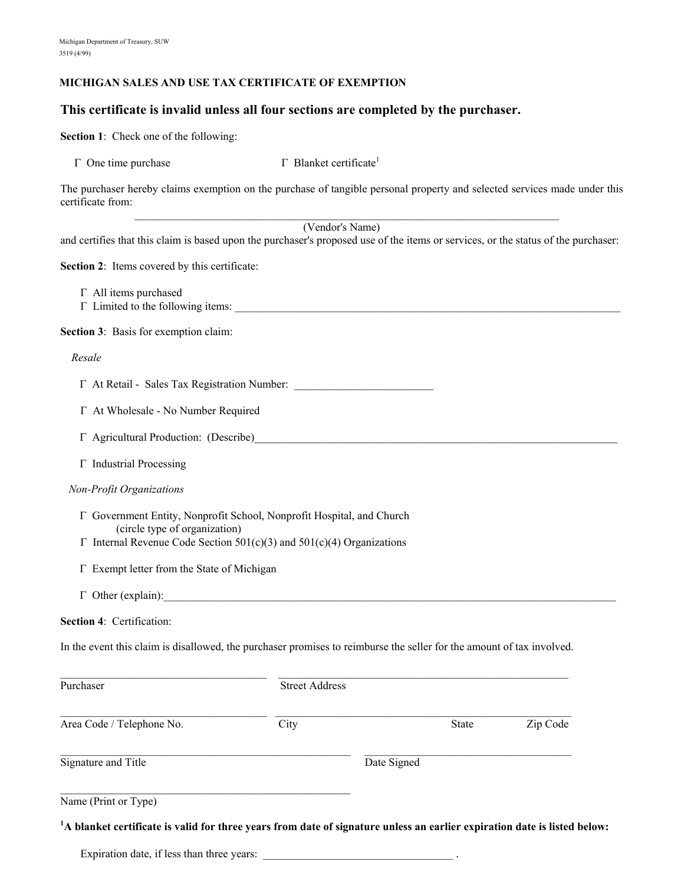#### **MICHIGAN SALES AND USE TAX CERTIFICATE OF EXEMPTION**

# **This certificate is invalid unless all four sections are completed by the purchaser.**

**Section 1**: Check one of the following:

| $\Gamma$ One time purchase | $\Gamma$ Blanket certificate <sup>1</sup> |
|----------------------------|-------------------------------------------|
|----------------------------|-------------------------------------------|

The purchaser hereby claims exemption on the purchase of tangible personal property and selected services made under this certificate from:

|                                                                                                                                                                                                                                |                       | (Vendor's Name) |       |          |
|--------------------------------------------------------------------------------------------------------------------------------------------------------------------------------------------------------------------------------|-----------------------|-----------------|-------|----------|
| and certifies that this claim is based upon the purchaser's proposed use of the items or services, or the status of the purchaser:                                                                                             |                       |                 |       |          |
| Section 2: Items covered by this certificate:                                                                                                                                                                                  |                       |                 |       |          |
| $\Gamma$ All items purchased<br>T Limited to the following items:                                                                                                                                                              |                       |                 |       |          |
| Section 3: Basis for exemption claim:                                                                                                                                                                                          |                       |                 |       |          |
| Resale                                                                                                                                                                                                                         |                       |                 |       |          |
|                                                                                                                                                                                                                                |                       |                 |       |          |
| Γ At Wholesale - No Number Required                                                                                                                                                                                            |                       |                 |       |          |
| T Agricultural Production: (Describe) Manual Agricultural Agricultural Agricultural Agricultural Agricultural Agricultural Agricultural Agricultural Agricultural Agricultural Agricultural Agricultural Agricultural Agricult |                       |                 |       |          |
| $\Gamma$ Industrial Processing                                                                                                                                                                                                 |                       |                 |       |          |
| Non-Profit Organizations                                                                                                                                                                                                       |                       |                 |       |          |
| Γ Government Entity, Nonprofit School, Nonprofit Hospital, and Church<br>(circle type of organization)<br>$\Gamma$ Internal Revenue Code Section 501(c)(3) and 501(c)(4) Organizations                                         |                       |                 |       |          |
| Γ Exempt letter from the State of Michigan                                                                                                                                                                                     |                       |                 |       |          |
| $\Gamma$ Other (explain):                                                                                                                                                                                                      |                       |                 |       |          |
| Section 4: Certification:                                                                                                                                                                                                      |                       |                 |       |          |
| In the event this claim is disallowed, the purchaser promises to reimburse the seller for the amount of tax involved.                                                                                                          |                       |                 |       |          |
| Purchaser                                                                                                                                                                                                                      | <b>Street Address</b> |                 |       |          |
| Area Code / Telephone No.                                                                                                                                                                                                      | City                  |                 | State | Zip Code |
| Signature and Title                                                                                                                                                                                                            |                       | Date Signed     |       |          |
|                                                                                                                                                                                                                                |                       |                 |       |          |

Name (Print or Type)

**1 A blanket certificate is valid for three years from date of signature unless an earlier expiration date is listed below:**

Expiration date, if less than three years: \_\_\_\_\_\_\_\_\_\_\_\_\_\_\_\_\_\_\_\_\_\_\_\_\_\_\_\_\_\_\_\_\_\_ .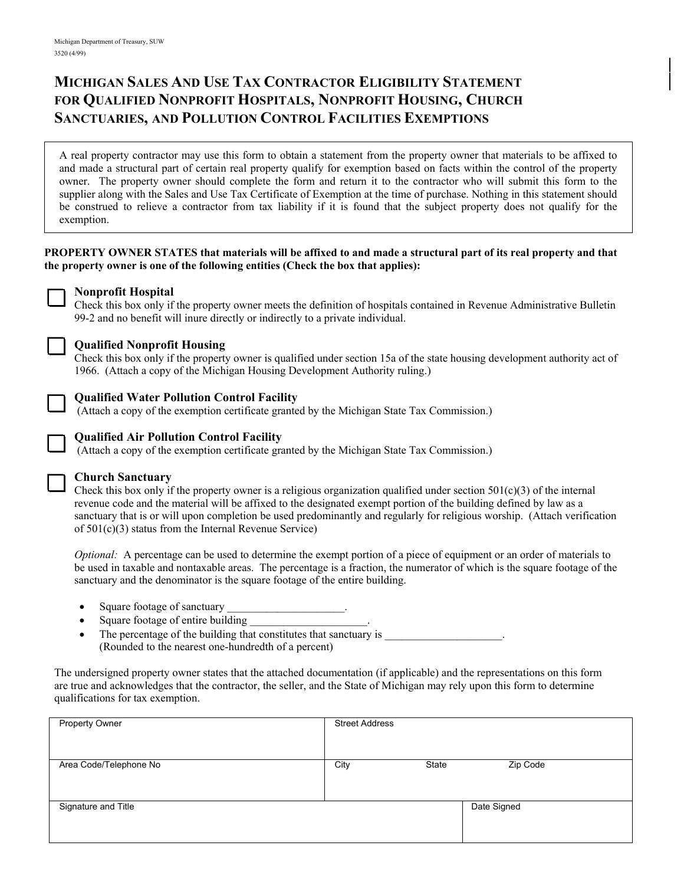# **MICHIGAN SALES AND USE TAX CONTRACTOR ELIGIBILITY STATEMENT FOR QUALIFIED NONPROFIT HOSPITALS, NONPROFIT HOUSING, CHURCH SANCTUARIES, AND POLLUTION CONTROL FACILITIES EXEMPTIONS**

A real property contractor may use this form to obtain a statement from the property owner that materials to be affixed to and made a structural part of certain real property qualify for exemption based on facts within the control of the property owner. The property owner should complete the form and return it to the contractor who will submit this form to the supplier along with the Sales and Use Tax Certificate of Exemption at the time of purchase. Nothing in this statement should be construed to relieve a contractor from tax liability if it is found that the subject property does not qualify for the exemption.

## **PROPERTY OWNER STATES that materials will be affixed to and made a structural part of its real property and that the property owner is one of the following entities (Check the box that applies):**

# **Nonprofit Hospital**

Check this box only if the property owner meets the definition of hospitals contained in Revenue Administrative Bulletin 99-2 and no benefit will inure directly or indirectly to a private individual.



## **Qualified Nonprofit Housing**

Check this box only if the property owner is qualified under section 15a of the state housing development authority act of 1966. (Attach a copy of the Michigan Housing Development Authority ruling.)

## **Qualified Water Pollution Control Facility**

(Attach a copy of the exemption certificate granted by the Michigan State Tax Commission.)



## **Qualified Air Pollution Control Facility**

(Attach a copy of the exemption certificate granted by the Michigan State Tax Commission.)

#### **Church Sanctuary**

Check this box only if the property owner is a religious organization qualified under section  $501(c)(3)$  of the internal revenue code and the material will be affixed to the designated exempt portion of the building defined by law as a sanctuary that is or will upon completion be used predominantly and regularly for religious worship. (Attach verification of 501(c)(3) status from the Internal Revenue Service)

*Optional:* A percentage can be used to determine the exempt portion of a piece of equipment or an order of materials to be used in taxable and nontaxable areas. The percentage is a fraction, the numerator of which is the square footage of the sanctuary and the denominator is the square footage of the entire building.

- Square footage of sanctuary
- Square footage of entire building
- The percentage of the building that constitutes that sanctuary is (Rounded to the nearest one-hundredth of a percent)

The undersigned property owner states that the attached documentation (if applicable) and the representations on this form are true and acknowledges that the contractor, the seller, and the State of Michigan may rely upon this form to determine qualifications for tax exemption.

| Property Owner         | <b>Street Address</b> |       |             |
|------------------------|-----------------------|-------|-------------|
| Area Code/Telephone No | City                  | State | Zip Code    |
| Signature and Title    |                       |       | Date Signed |